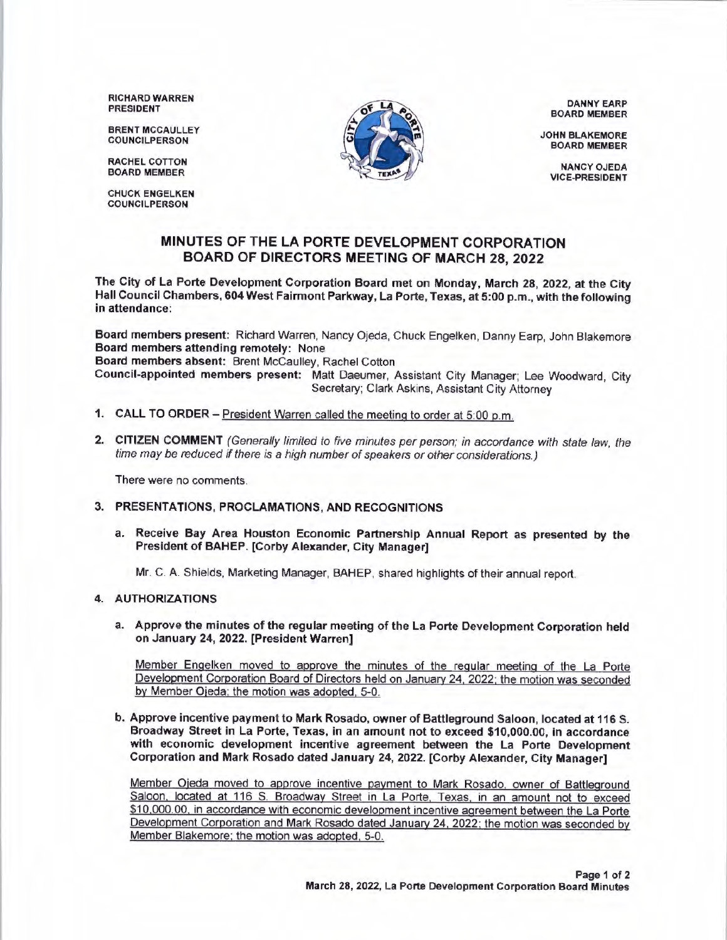RICHARD WARREN PRESIDENT

BRENT MCCAULLEY COUNCILPERSON

RACHEL COTTON BOARD MEMBER

CHUCK ENGELKEN COUNCILPERSON



DANNY EARP BOARD MEMBER

JOHN BLAKEMORE BOARD MEMBER

NANCY OJEDA VICE-PRESIDENT

## **MINUTES OF THE LA PORTE DEVELOPMENT CORPORATION BOARD OF DIRECTORS MEETING OF MARCH 28, 2022**

**The City of La Porte Development Corporation Board met on Monday, March 28, 2022, at the City Hall Council Chambers, 604 West Fairmont Parkway, La Porte, Texas, at 5:00 p.m., with the following in attendance:** 

**Board members present:** Richard Warren, Nancy Ojeda, Chuck Engelken, Danny Earp, John Blakemore **Board members attending remotely:** None

**Board members absent:** Brent Mccaulley, Rachel Cotton

**Council-appointed members present:** Matt Daeumer, Assistant City Manager; Lee Woodward, City Secretary; Clark Askins, Assistant City Attorney

- **1. CALL TO ORDER**  President Warren called the meeting to order at 5:00 p.m.
- **2. CITIZEN COMMENT** (Generally limited to five minutes per person; in accordance with state law, the time may be reduced if there is a high number of speakers or other considerations.)

There were no comments.

- **3. PRESENTATIONS, PROCLAMATIONS, AND RECOGNITIONS** 
	- **a. Receive Bay Area Houston Economic Partnership Annual Report as presented by the President of BAHEP. [Corby Alexander, City Manager]**

Mr. C. A. Shields, Marketing Manager, BAHEP, shared highlights of their annual report.

## **4. AUTHORIZATIONS**

**a. Approve the minutes of the regular meeting of the La Porte Development Corporation held on January 24, 2022. [President Warren]** 

Member Engelken moved to approve the minutes of the regular meeting of the La Porte Development Corporation Board of Directors held on January 24. 2022; the motion was seconded by Member Ojeda: the motion was adopted. 5-0.

**b. Approve incentive payment to Mark Rosado, owner of Battleground Saloon, located at 116 S. Broadway Street in La Porte, Texas, in an amount not to exceed \$10,000.00, in accordance with economic development incentive agreement between the La Porte Development Corporation and Mark Rosado dated January 24, 2022. [Corby Alexander, City Manager]** 

Member Ojeda moved to approve incentive payment to Mark Rosado. owner of Battleground Saloon, located at 116 S. Broadway Street in La Porte, Texas. in an amount not to exceed \$10,000.00. in accordance with economic development incentive agreement between the La Porte Development Corporation and Mark Rosado dated January 24, 2022; the motion was seconded by Member Blakemore; the motion was adopted, 5-0.